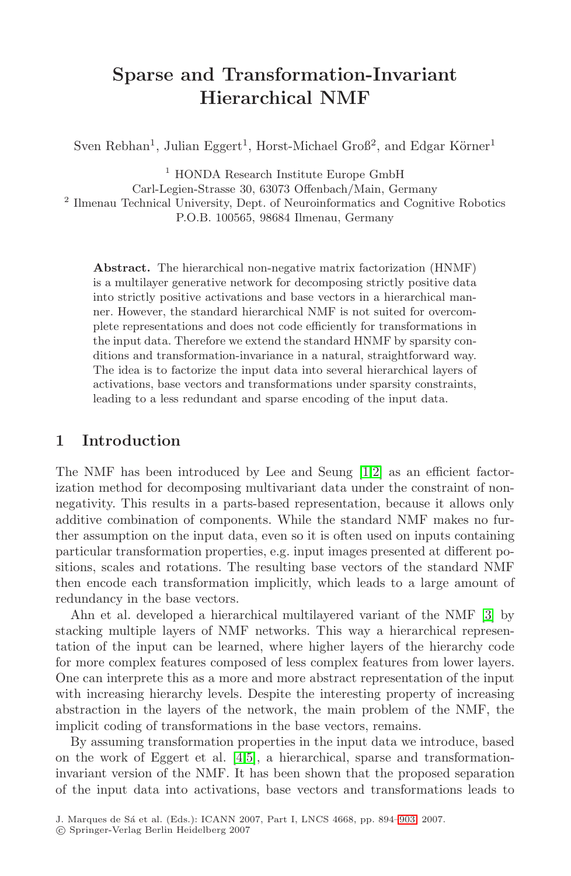# **Sparse and Transformation-Invariant Hierarchical NMF**

Sven Rebhan<sup>1</sup>, Julian Eggert<sup>1</sup>, Horst-Michael Groß<sup>2</sup>, and Edgar Körner<sup>1</sup>

<sup>1</sup> HONDA Research Institute Europe GmbH Carl-Legien-Strasse 30, 63073 Offenbach/Main, Germany <sup>2</sup> Ilmenau Technical University, Dept. of Neuroinformatics and Cognitive Robotics P.O.B. 100565, 98684 Ilmenau, Germany

**Abstract.** The hierarchical non-negative matrix factorization (HNMF) is a multilayer generative network for decomposing strictly positive data into strictly positive activations and base vectors in a hierarchical manner. However, the standard hierarchical NMF is not suited for overcomplete representations and does not code efficiently for transformations in the input data. Therefore we extend the standard HNMF by sparsity conditions and transformation-invariance in a natural, straightforward way. The idea is to factorize the input data into several hierarchical layers of activations, base vectors and transformations under sparsity constraints, leading to a less redundant and sparse encoding of the input data.

### **1 Introduction**

The NMF has been introduced by Lee and Seung [1,2] as an efficient factorization method for decomposing multivariant data under the constraint of nonnegativity. This results in a parts-based representation, because it allows only additive combination of components. While the standard NMF makes no further assumption on the input data, even so it is often used on inputs containing particular transformation properties, e.g. input images presented at different positions, scales and rotations. The resulting base vectors of the standard NMF then encode each transformation implicitly, which leads to a large amount of redundancy in the base vectors.

Ahn et al. developed a hierarchical multilayered variant of the NMF [3] by stacking multiple layers of NMF networks. This way a hierarchical representation of the input can be learned, where higher layers of the hierarchy code for more complex features composed of less complex features from lower layers. One can interprete this as a more and more abstract representation of the input with increasing hierarchy levels. Despite the interesting property of increasing abstraction in the layers of the network, the main problem of the NMF, the implicit coding of transformations in the base vectors, remains.

By assuming transformation properties in the input data we introduce, based on the work of Eggert et al. [4,5], a hierarchical, sparse and transformationinvariant version of the NMF. It has been shown that the proposed separation of the input data into activations, base vectors and transformations leads to

J. Marques de Sá et al. (Eds.): ICANN 2007, Part I, LNCS 4668, pp. 894–903, 2007.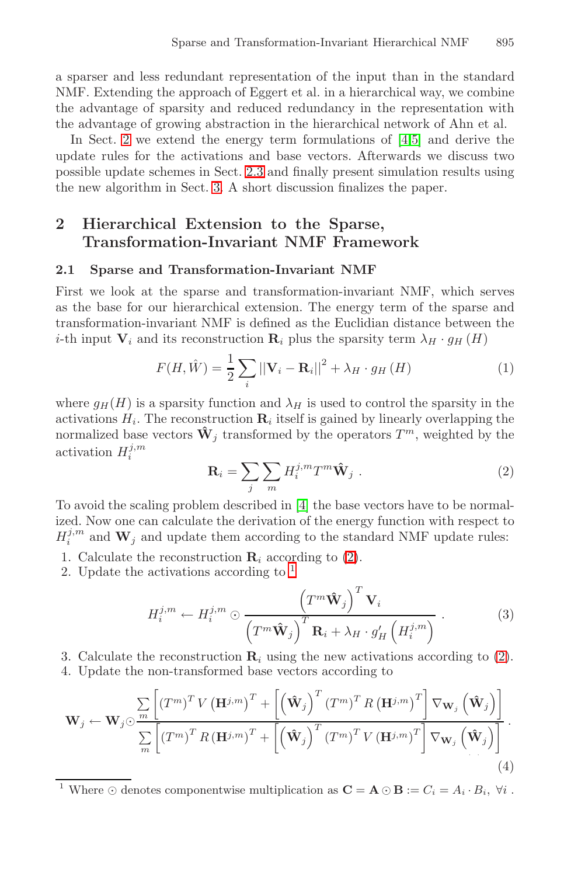a sparser and less redundant representation of the input than in the standard NMF. Extending the approach of Eggert et al. in a hierarchical way, we combine the advantage of sparsity and reduced redundancy in the representation with the advantage of growing abstraction in the hierarchical network of Ahn et al.

In Sect. 2 we extend the energy term formulations of [4,5] and derive the update rules for the activations and base vectors. Afterwards we discuss two possible update schemes in Sect. 2.3 and finally present simulation results using the new algorithm in Sect. 3. A short discussion finalizes the paper.

## **2 Hierarchical Extension to the Sparse, Transformation-Invariant NMF Framework**

#### **2.1 Sparse and Transformation-Invariant NMF**

First we look at the sparse and transformation-invariant NMF, which serves as the base for our hierarchical extension. The energy term of the sparse and transformation-invariant NMF is defined as the Euclidian distance between the *i*-th input  $V_i$  and its reconstruction  $\mathbf{R}_i$  plus the sparsity term  $\lambda_H \cdot g_H(H)$ 

$$
F(H, \hat{W}) = \frac{1}{2} \sum_{i} \left| \left| \mathbf{V}_{i} - \mathbf{R}_{i} \right| \right|^{2} + \lambda_{H} \cdot g_{H} \left( H \right)
$$
 (1)

where  $g_H(H)$  is a sparsity function and  $\lambda_H$  is used to control the sparsity in the activations  $H_i$ . The reconstruction  $\mathbf{R}_i$  itself is gained by linearly overlapping the normalized base vectors  $\hat{\mathbf{W}}_i$  transformed by the operators  $T^m$ , weighted by the activation  $H_i^{j,m}$ 

$$
\mathbf{R}_{i} = \sum_{j} \sum_{m} H_{i}^{j,m} T^{m} \hat{\mathbf{W}}_{j} .
$$
 (2)

To avoid the scaling problem described in [4] the base vectors have to be normalized. Now one can calculate the derivation of the energy function with respect to  $H_i^{j,m}$  and  $\mathbf{W}_j$  and update them according to the standard NMF update rules:

- 1. Calculate the reconstruction  $\mathbf{R}_i$  according to (2).
- 2. Update the activations according to  $<sup>1</sup>$ </sup>

$$
H_i^{j,m} \leftarrow H_i^{j,m} \odot \frac{\left(T^m \hat{\mathbf{W}}_j\right)^T \mathbf{V}_i}{\left(T^m \hat{\mathbf{W}}_j\right)^T \mathbf{R}_i + \lambda_H \cdot g'_H \left(H_i^{j,m}\right)} . \tag{3}
$$

- 3. Calculate the reconstruction  $\mathbf{R}_i$  using the new activations according to (2).
- 4. Update the non-transformed base vectors according to

$$
\mathbf{W}_{j} \leftarrow \mathbf{W}_{j} \odot \frac{\sum\limits_{m} \left[ \left(T^{m}\right)^{T} V\left(\mathbf{H}^{j,m}\right)^{T} + \left[ \left(\hat{\mathbf{W}}_{j}\right)^{T} \left(T^{m}\right)^{T} R\left(\mathbf{H}^{j,m}\right)^{T} \right] \nabla_{\mathbf{W}_{j}} \left(\hat{\mathbf{W}}_{j}\right) \right]}{\sum\limits_{m} \left[ \left(T^{m}\right)^{T} R\left(\mathbf{H}^{j,m}\right)^{T} + \left[ \left(\hat{\mathbf{W}}_{j}\right)^{T} \left(T^{m}\right)^{T} V\left(\mathbf{H}^{j,m}\right)^{T} \right] \nabla_{\mathbf{W}_{j}} \left(\hat{\mathbf{W}}_{j}\right) \right]}.
$$
\n(4)

<sup>1</sup> Where  $\odot$  denotes componentwise multiplication as  $\mathbf{C} = \mathbf{A} \odot \mathbf{B} := C_i = A_i \cdot B_i$ ,  $\forall i$ .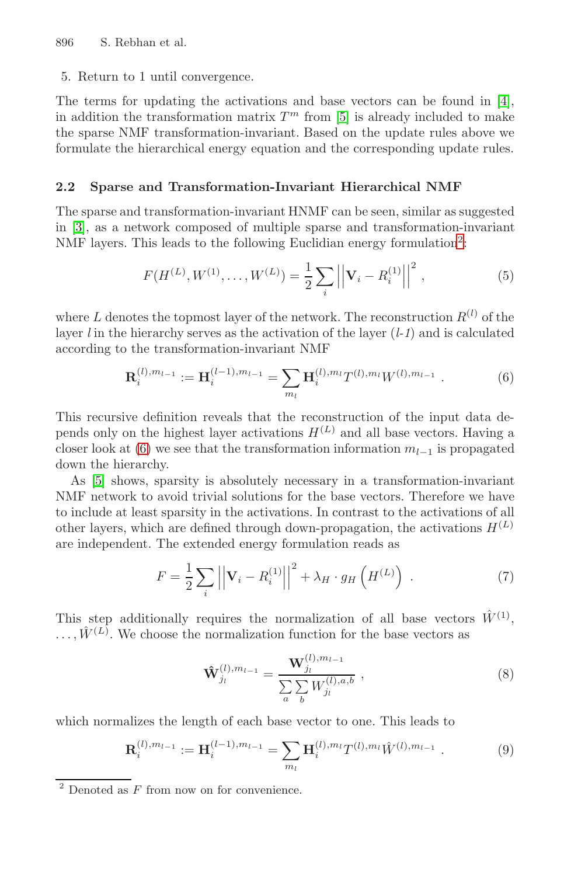#### 5. Return to 1 until convergence.

The terms for updating the activations and base vectors can be found in [4], in addition the transformation matrix  $T<sup>m</sup>$  from [5] is already included to make the sparse NMF transformation-invariant. Based on the update rules above we formulate the hierarchical energy equation and the corresponding update rules.

#### **2.2 Sparse and Transformation-Invariant Hierarchical NMF**

The sparse and transformation-invariant HNMF can be seen, similar as suggested in [3], as a network composed of multiple sparse and transformation-invariant NMF layers. This leads to the following Euclidian energy formulation<sup>2</sup>:

$$
F(H^{(L)}, W^{(1)}, \dots, W^{(L)}) = \frac{1}{2} \sum_{i} \left| \left| \mathbf{V}_{i} - R_{i}^{(1)} \right| \right|^{2}, \tag{5}
$$

where L denotes the topmost layer of the network. The reconstruction  $R^{(l)}$  of the layer l in the hierarchy serves as the activation of the layer  $(l-1)$  and is calculated according to the transformation-invariant NMF

$$
\mathbf{R}_{i}^{(l),m_{l-1}} := \mathbf{H}_{i}^{(l-1),m_{l-1}} = \sum_{m_{l}} \mathbf{H}_{i}^{(l),m_{l}} T^{(l),m_{l}} W^{(l),m_{l-1}} . \tag{6}
$$

This recursive definition reveals that the reconstruction of the input data depends only on the highest layer activations  $H^{(L)}$  and all base vectors. Having a closer look at (6) we see that the transformation information  $m_{l-1}$  is propagated down the hierarchy.

As [5] shows, sparsity is absolutely necessary in a transformation-invariant NMF network to avoid trivial solutions for the base vectors. Therefore we have to include at least sparsity in the activations. In contrast to the activations of all other layers, which are defined through down-propagation, the activations  $H^{(L)}$ are independent. The extended energy formulation reads as

$$
F = \frac{1}{2} \sum_{i} \left| \left| \mathbf{V}_{i} - R_{i}^{(1)} \right| \right|^{2} + \lambda_{H} \cdot g_{H} \left( H^{(L)} \right) . \tag{7}
$$

This step additionally requires the normalization of all base vectors  $\hat{W}^{(1)}$ ,  $\ldots, \hat{W}^{(L)}$ . We choose the normalization function for the base vectors as

$$
\hat{\mathbf{W}}_{j_l}^{(l),m_{l-1}} = \frac{\mathbf{W}_{j_l}^{(l),m_{l-1}}}{\sum_{a} \sum_{b} W_{j_l}^{(l),a,b}} , \qquad (8)
$$

which normalizes the length of each base vector to one. This leads to

$$
\mathbf{R}_{i}^{(l),m_{l-1}} := \mathbf{H}_{i}^{(l-1),m_{l-1}} = \sum_{m_{l}} \mathbf{H}_{i}^{(l),m_{l}} T^{(l),m_{l}} \hat{W}^{(l),m_{l-1}} . \tag{9}
$$

 $<sup>2</sup>$  Denoted as F from now on for convenience.</sup>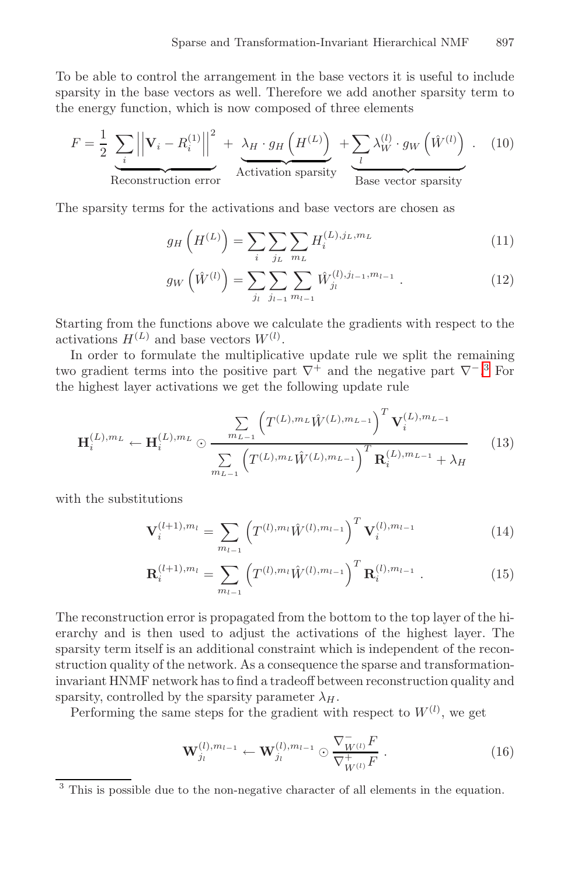To be able to control the arrangement in the base vectors it is useful to include sparsity in the base vectors as well. Therefore we add another sparsity term to the energy function, which is now composed of three elements

$$
F = \frac{1}{2} \underbrace{\sum_{i} ||\mathbf{V}_{i} - R_{i}^{(1)}||^{2}}_{\text{Reconstruction error}} + \underbrace{\lambda_{H} \cdot g_{H} \left( H^{(L)} \right)}_{\text{Activation sparsity}} + \underbrace{\sum_{l} \lambda_{W}^{(l)} \cdot g_{W} \left( \hat{W}^{(l)} \right)}_{\text{Base vector sparsity}}.
$$
 (10)

The sparsity terms for the activations and base vectors are chosen as

$$
g_H\left(H^{(L)}\right) = \sum_{i} \sum_{j_L} \sum_{m_L} H_i^{(L), j_L, m_L}
$$
 (11)

$$
g_W\left(\hat{W}^{(l)}\right) = \sum_{j_l} \sum_{j_{l-1}} \sum_{m_{l-1}} \hat{W}_{j_l}^{(l), j_{l-1}, m_{l-1}} . \tag{12}
$$

Starting from the functions above we calculate the gradients with respect to the activations  $H^{(L)}$  and base vectors  $W^{(l)}$ .

In order to formulate the multiplicative update rule we split the remaining two gradient terms into the positive part  $\nabla^+$  and the negative part  $\nabla^{-}$ .<sup>3</sup> For the highest layer activations we get the following update rule

$$
\mathbf{H}_{i}^{(L),m_{L}} \leftarrow \mathbf{H}_{i}^{(L),m_{L}} \odot \frac{\sum_{m_{L-1}} \left(T^{(L),m_{L}}\hat{W}^{(L),m_{L-1}}\right)^{T} \mathbf{V}_{i}^{(L),m_{L-1}}}{\sum_{m_{L-1}} \left(T^{(L),m_{L}}\hat{W}^{(L),m_{L-1}}\right)^{T} \mathbf{R}_{i}^{(L),m_{L-1}} + \lambda_{H}}
$$
(13)

with the substitutions

$$
\mathbf{V}_{i}^{(l+1),m_{l}} = \sum_{m_{l-1}} \left( T^{(l),m_{l}} \hat{W}^{(l),m_{l-1}} \right)^{T} \mathbf{V}_{i}^{(l),m_{l-1}} \tag{14}
$$

$$
\mathbf{R}_{i}^{(l+1),m_{l}} = \sum_{m_{l-1}} \left( T^{(l),m_{l}} \hat{W}^{(l),m_{l-1}} \right)^{T} \mathbf{R}_{i}^{(l),m_{l-1}} . \tag{15}
$$

The reconstruction error is propagated from the bottom to the top layer of the hierarchy and is then used to adjust the activations of the highest layer. The sparsity term itself is an additional constraint which is independent of the reconstruction quality of the network. As a consequence the sparse and transformationinvariant HNMF network has to find a tradeoff between reconstruction quality and sparsity, controlled by the sparsity parameter  $\lambda_H$ .

Performing the same steps for the gradient with respect to  $W^{(l)}$ , we get

$$
\mathbf{W}_{j_l}^{(l),m_{l-1}} \leftarrow \mathbf{W}_{j_l}^{(l),m_{l-1}} \odot \frac{\nabla_{W^{(l)}}^{\top} F}{\nabla_{W^{(l)}}^{\top} F} \,. \tag{16}
$$

<sup>&</sup>lt;sup>3</sup> This is possible due to the non-negative character of all elements in the equation.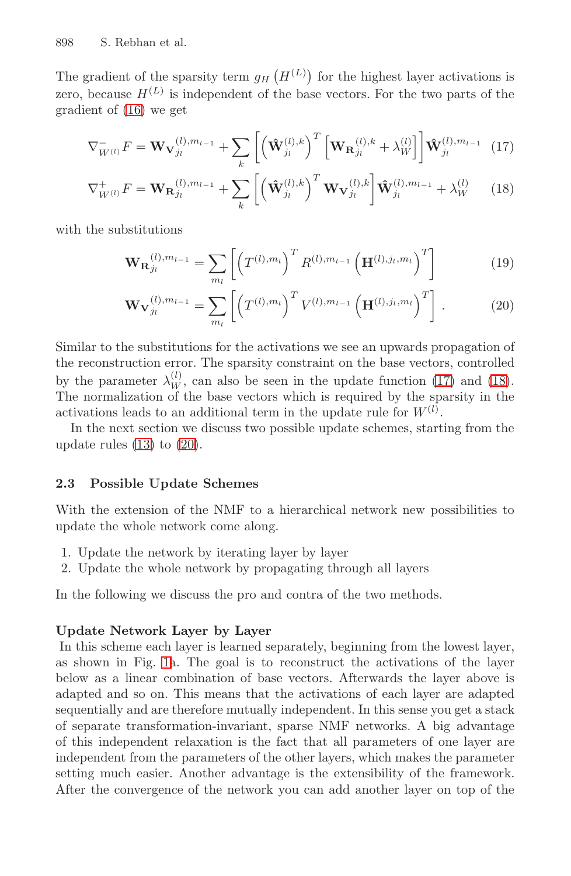The gradient of the sparsity term  $g_H\left(H^{(L)}\right)$  for the highest layer activations is zero, because  $H^{(L)}$  is independent of the base vectors. For the two parts of the gradient of (16) we get

$$
\nabla_{W^{(l)}}^{-} F = \mathbf{W} \mathbf{v}_{j_l}^{(l), m_{l-1}} + \sum_{k} \left[ \left( \hat{\mathbf{W}}_{j_l}^{(l), k} \right)^T \left[ \mathbf{W} \mathbf{R}_{j_l}^{(l), k} + \lambda_W^{(l)} \right] \right] \hat{\mathbf{W}}_{j_l}^{(l), m_{l-1}} \tag{17}
$$

$$
\nabla_{W^{(l)}}^+ F = \mathbf{W}_{\mathbf{R}_{j_l}}^{(l),m_{l-1}} + \sum_k \left[ \left( \hat{\mathbf{W}}_{j_l}^{(l),k} \right)^T \mathbf{W}_{\mathbf{V}_{j_l}}^{(l),k} \right] \hat{\mathbf{W}}_{j_l}^{(l),m_{l-1}} + \lambda_W^{(l)} \qquad (18)
$$

with the substitutions

$$
\mathbf{W}_{\mathbf{R}_{j_l}}^{(l),m_{l-1}} = \sum_{m_l} \left[ \left( T^{(l),m_l} \right)^T R^{(l),m_{l-1}} \left( \mathbf{H}^{(l),j_l,m_l} \right)^T \right] \tag{19}
$$

$$
\mathbf{W}_{\mathbf{V}_{j_l}}^{(l),m_{l-1}} = \sum_{m_l} \left[ \left( T^{(l),m_l} \right)^T V^{(l),m_{l-1}} \left( \mathbf{H}^{(l),j_l,m_l} \right)^T \right]. \tag{20}
$$

Similar to the substitutions for the activations we see an upwards propagation of the reconstruction error. The sparsity constraint on the base vectors, controlled by the parameter  $\lambda_W^{(l)}$ , can also be seen in the update function (17) and (18). The normalization of the base vectors which is required by the sparsity in the activations leads to an additional term in the update rule for  $W^{(l)}$ .

In the next section we discuss two possible update schemes, starting from the update rules  $(13)$  to  $(20)$ .

#### **2.3 Possible Update Schemes**

With the extension of the NMF to a hierarchical network new possibilities to update the whole network come along.

- 1. Update the network by iterating layer by layer
- 2. Update the whole network by propagating through all layers

In the following we discuss the pro and contra of the two methods.

#### **Update Network Layer by Layer**

In this scheme each layer is learned separately, beginning from the lowest layer, as shown in Fig. 1a. The goal is to reconstruct the activations of the layer below as a linear combination of base vectors. Afterwards the layer above is adapted and so on. This means that the activations of each layer are adapted sequentially and are therefore mutually independent. In this sense you get a stack of separate transformation-invariant, sparse NMF networks. A big advantage of this independent relaxation is the fact that all parameters of one layer are independent from the parameters of the other layers, which makes the parameter setting much easier. Another advantage is the extensibility of the framework. After the convergence of the network you can add another layer on top of the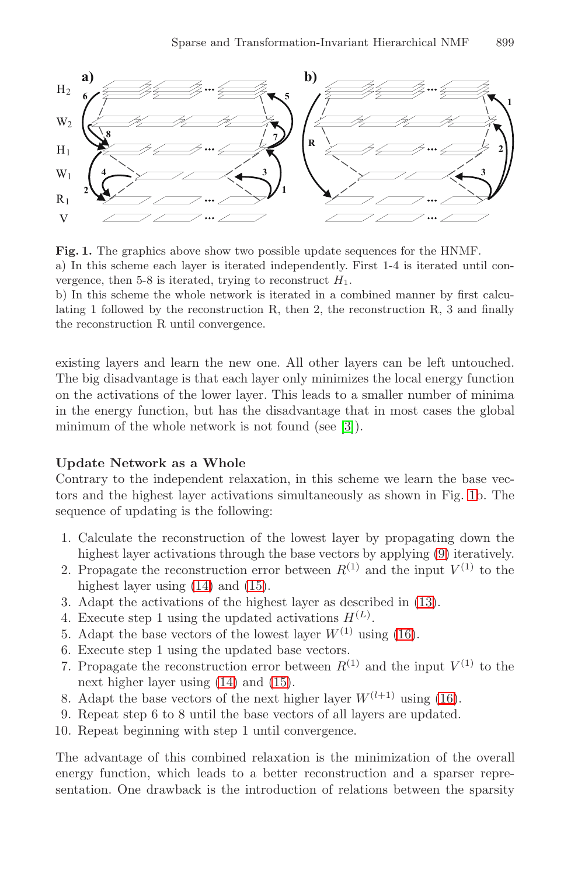

**Fig. 1.** The graphics above show two possible update sequences for the HNMF. a) In this scheme each layer is iterated independently. First 1-4 is iterated until convergence, then 5-8 is iterated, trying to reconstruct  $H_1$ .

b) In this scheme the whole network is iterated in a combined manner by first calculating 1 followed by the reconstruction R, then 2, the reconstruction R, 3 and finally the reconstruction R until convergence.

existing layers and learn the new one. All other layers can be left untouched. The big disadvantage is that each layer only minimizes the local energy function on the activations of the lower layer. This leads to a smaller number of minima in the energy function, but has the disadvantage that in most cases the global minimum of the whole network is not found (see [3]).

#### **Update Network as a Whole**

Contrary to the independent relaxation, in this scheme we learn the base vectors and the highest layer activations simultaneously as shown in Fig. 1b. The sequence of updating is the following:

- 1. Calculate the reconstruction of the lowest layer by propagating down the highest layer activations through the base vectors by applying (9) iteratively.
- 2. Propagate the reconstruction error between  $R^{(1)}$  and the input  $V^{(1)}$  to the highest layer using  $(14)$  and  $(15)$ .
- 3. Adapt the activations of the highest layer as described in (13).
- 4. Execute step 1 using the updated activations  $H^{(L)}$ .
- 5. Adapt the base vectors of the lowest layer  $W^{(1)}$  using (16).
- 6. Execute step 1 using the updated base vectors.
- 7. Propagate the reconstruction error between  $R^{(1)}$  and the input  $V^{(1)}$  to the next higher layer using (14) and (15).
- 8. Adapt the base vectors of the next higher layer  $W^{(l+1)}$  using (16).
- 9. Repeat step 6 to 8 until the base vectors of all layers are updated.
- 10. Repeat beginning with step 1 until convergence.

The advantage of this combined relaxation is the minimization of the overall energy function, which leads to a better reconstruction and a sparser representation. One drawback is the introduction of relations between the sparsity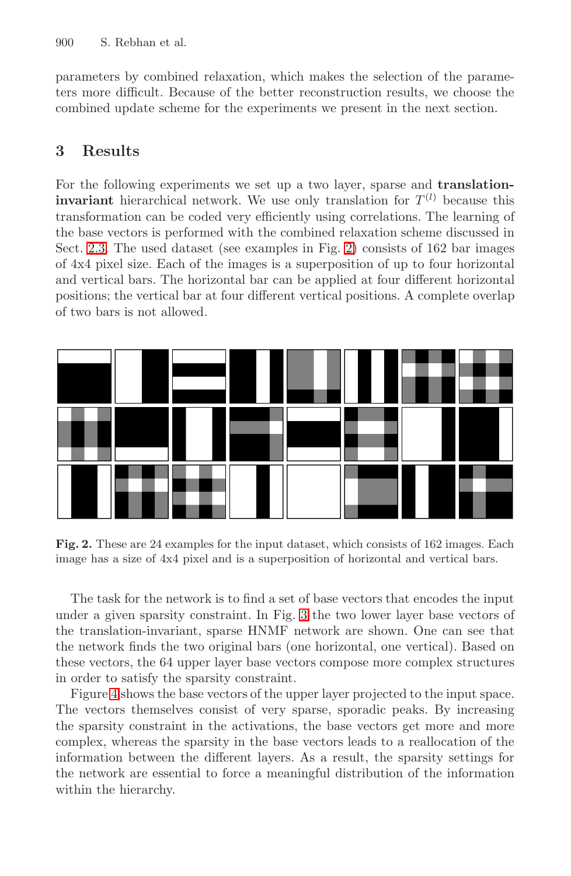parameters by combined relaxation, which makes the selection of the parameters more difficult. Because of the better reconstruction results, we choose the combined update scheme for the experiments we present in the next section.

## **3 Results**

For the following experiments we set up a two layer, sparse and **translationinvariant** hierarchical network. We use only translation for  $T^{(l)}$  because this transformation can be coded very efficiently using correlations. The learning of the base vectors is performed with the combined relaxation scheme discussed in Sect. 2.3. The used dataset (see examples in Fig. 2) consists of 162 bar images of 4x4 pixel size. Each of the images is a superposition of up to four horizontal and vertical bars. The horizontal bar can be applied at four different horizontal positions; the vertical bar at four different vertical positions. A complete overlap of two bars is not allowed.



**Fig. 2.** These are 24 examples for the input dataset, which consists of 162 images. Each image has a size of 4x4 pixel and is a superposition of horizontal and vertical bars.

The task for the network is to find a set of base vectors that encodes the input under a given sparsity constraint. In Fig. 3 the two lower layer base vectors of the translation-invariant, sparse HNMF network are shown. One can see that the network finds the two original bars (one horizontal, one vertical). Based on these vectors, the 64 upper layer base vectors compose more complex structures in order to satisfy the sparsity constraint.

Figure 4 shows the base vectors of the upper layer projected to the input space. The vectors themselves consist of very sparse, sporadic peaks. By increasing the sparsity constraint in the activations, the base vectors get more and more complex, whereas the sparsity in the base vectors leads to a reallocation of the information between the different layers. As a result, the sparsity settings for the network are essential to force a meaningful distribution of the information within the hierarchy.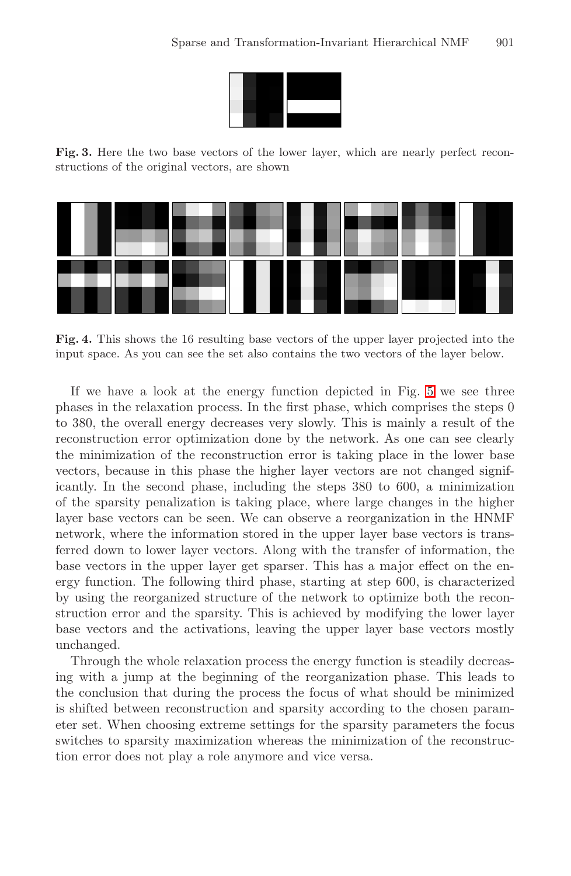

**Fig. 3.** Here the two base vectors of the lower layer, which are nearly perfect reconstructions of the original vectors, are shown



**Fig. 4.** This shows the 16 resulting base vectors of the upper layer projected into the input space. As you can see the set also contains the two vectors of the layer below.

If we have a look at the energy function depicted in Fig. 5 we see three phases in the relaxation process. In the first phase, which comprises the steps 0 to 380, the overall energy decreases very slowly. This is mainly a result of the reconstruction error optimization done by the network. As one can see clearly the minimization of the reconstruction error is taking place in the lower base vectors, because in this phase the higher layer vectors are not changed significantly. In the second phase, including the steps 380 to 600, a minimization of the sparsity penalization is taking place, where large changes in the higher layer base vectors can be seen. We can observe a reorganization in the HNMF network, where the information stored in the upper layer base vectors is transferred down to lower layer vectors. Along with the transfer of information, the base vectors in the upper layer get sparser. This has a major effect on the energy function. The following third phase, starting at step 600, is characterized by using the reorganized structure of the network to optimize both the reconstruction error and the sparsity. This is achieved by modifying the lower layer base vectors and the activations, leaving the upper layer base vectors mostly unchanged.

Through the whole relaxation process the energy function is steadily decreasing with a jump at the beginning of the reorganization phase. This leads to the conclusion that during the process the focus of what should be minimized is shifted between reconstruction and sparsity according to the chosen parameter set. When choosing extreme settings for the sparsity parameters the focus switches to sparsity maximization whereas the minimization of the reconstruction error does not play a role anymore and vice versa.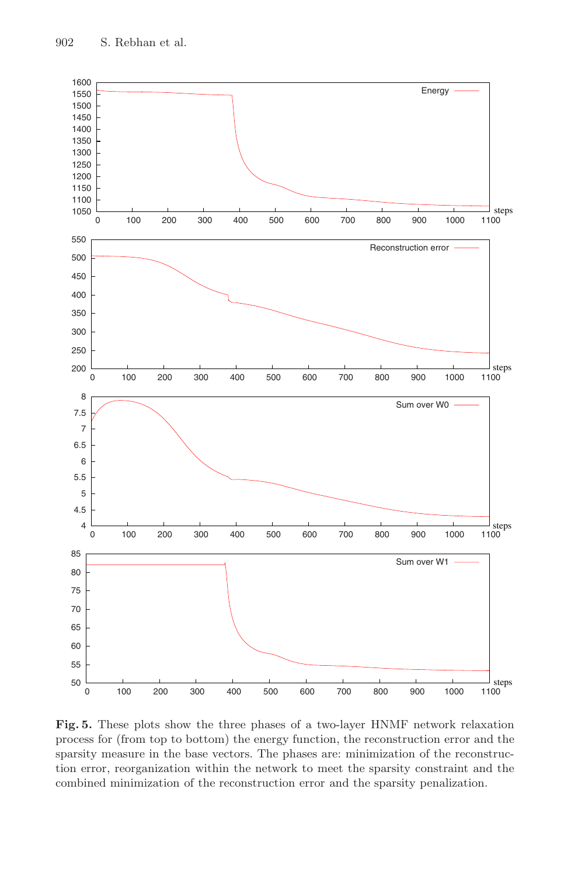

**Fig. 5.** These plots show the three phases of a two-layer HNMF network relaxation process for (from top to bottom) the energy function, the reconstruction error and the sparsity measure in the base vectors. The phases are: minimization of the reconstruction error, reorganization within the network to meet the sparsity constraint and the combined minimization of the reconstruction error and the sparsity penalization.